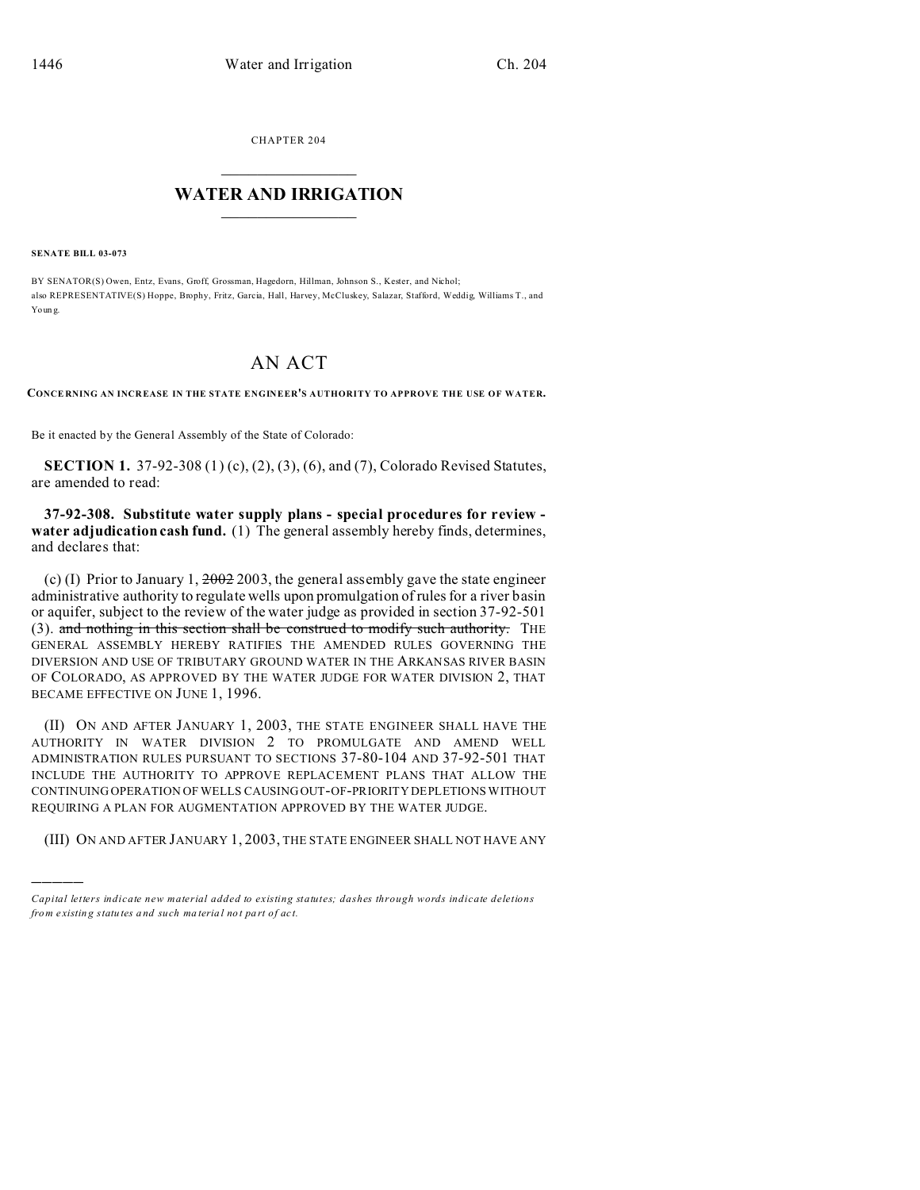CHAPTER 204  $\overline{\phantom{a}}$  , where  $\overline{\phantom{a}}$ 

## **WATER AND IRRIGATION**  $\_$   $\_$   $\_$   $\_$   $\_$   $\_$   $\_$   $\_$   $\_$

**SENATE BILL 03-073**

)))))

BY SENATOR(S) Owen, Entz, Evans, Groff, Grossman, Hagedorn, Hillman, Johnson S., Kester, and Nichol; also REPRESENTATIVE(S) Hoppe, Brophy, Fritz, Garcia, Hall, Harvey, McCluskey, Salazar, Stafford, Weddig, Williams T., and Youn g.

## AN ACT

**CONCE RNING AN INCR EASE IN THE STATE ENGINEER'S AUTHORITY TO APPROVE THE USE OF WATER.**

Be it enacted by the General Assembly of the State of Colorado:

**SECTION 1.** 37-92-308 (1) (c), (2), (3), (6), and (7), Colorado Revised Statutes, are amended to read:

**37-92-308. Substitute water supply plans - special procedures for review water adjudication cash fund.** (1) The general assembly hereby finds, determines, and declares that:

(c) (I) Prior to January 1,  $2002$  2003, the general assembly gave the state engineer administrative authority to regulate wells upon promulgation of rules for a river basin or aquifer, subject to the review of the water judge as provided in section 37-92-501 (3). and nothing in this section shall be construed to modify such authority. THE GENERAL ASSEMBLY HEREBY RATIFIES THE AMENDED RULES GOVERNING THE DIVERSION AND USE OF TRIBUTARY GROUND WATER IN THE ARKANSAS RIVER BASIN OF COLORADO, AS APPROVED BY THE WATER JUDGE FOR WATER DIVISION 2, THAT BECAME EFFECTIVE ON JUNE 1, 1996.

(II) ON AND AFTER JANUARY 1, 2003, THE STATE ENGINEER SHALL HAVE THE AUTHORITY IN WATER DIVISION 2 TO PROMULGATE AND AMEND WELL ADMINISTRATION RULES PURSUANT TO SECTIONS 37-80-104 AND 37-92-501 THAT INCLUDE THE AUTHORITY TO APPROVE REPLACEMENT PLANS THAT ALLOW THE CONTINUING OPERATION OF WELLS CAUSING OUT-OF-PRIORITY DEPLETIONS WITHOUT REQUIRING A PLAN FOR AUGMENTATION APPROVED BY THE WATER JUDGE.

(III) ON AND AFTER JANUARY 1, 2003, THE STATE ENGINEER SHALL NOT HAVE ANY

*Capital letters indicate new material added to existing statutes; dashes through words indicate deletions from e xistin g statu tes a nd such ma teria l no t pa rt of ac t.*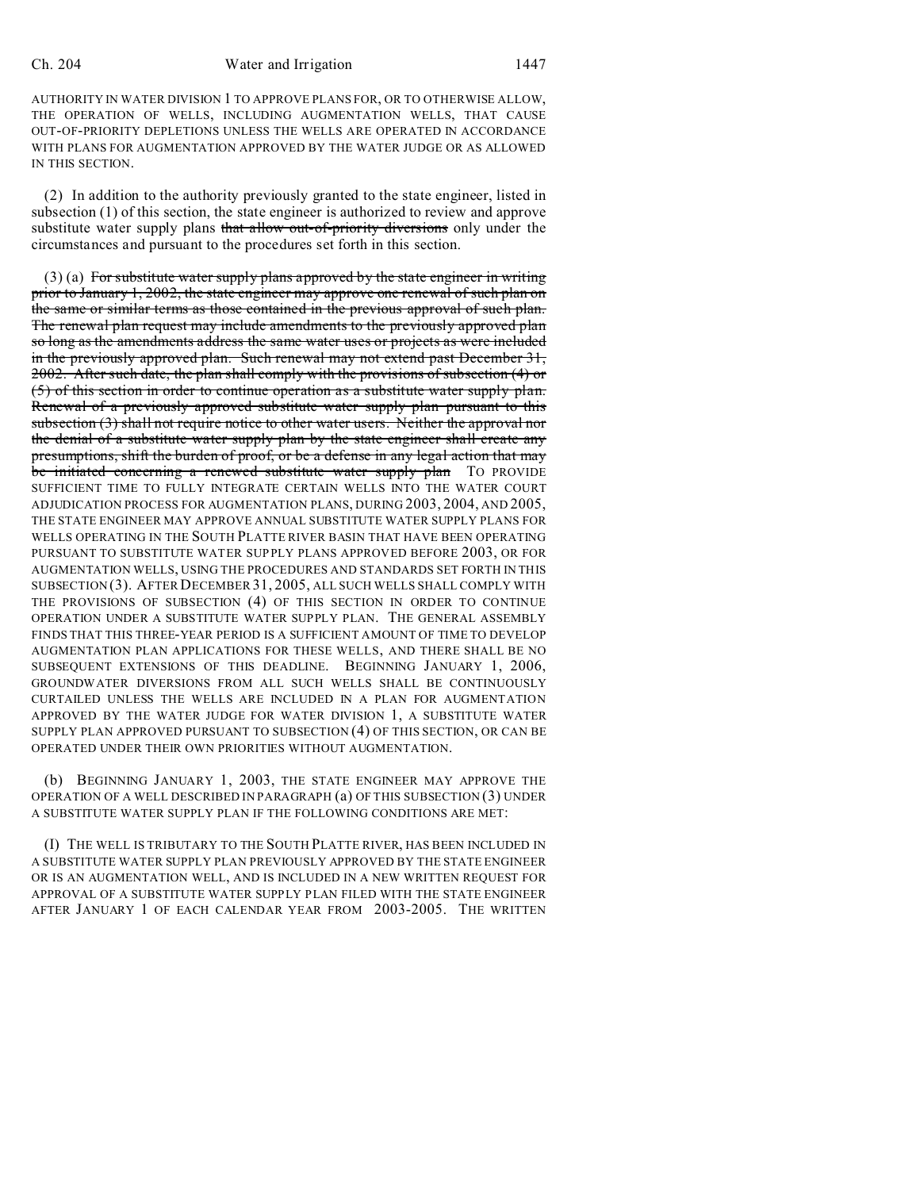## Ch. 204 Water and Irrigation 1447

AUTHORITY IN WATER DIVISION 1 TO APPROVE PLANS FOR, OR TO OTHERWISE ALLOW, THE OPERATION OF WELLS, INCLUDING AUGMENTATION WELLS, THAT CAUSE OUT-OF-PRIORITY DEPLETIONS UNLESS THE WELLS ARE OPERATED IN ACCORDANCE WITH PLANS FOR AUGMENTATION APPROVED BY THE WATER JUDGE OR AS ALLOWED IN THIS SECTION.

(2) In addition to the authority previously granted to the state engineer, listed in subsection (1) of this section, the state engineer is authorized to review and approve substitute water supply plans that allow out-of-priority diversions only under the circumstances and pursuant to the procedures set forth in this section.

 $(3)$  (a) For substitute water supply plans approved by the state engineer in writing prior to January 1, 2002, the state engineer may approve one renewal of such plan on the same or similar terms as those contained in the previous approval of such plan. The renewal plan request may include amendments to the previously approved plan so long as the amendments address the same water uses or projects as were included in the previously approved plan. Such renewal may not extend past December 31, 2002. After such date, the plan shall comply with the provisions of subsection (4) or (5) of this section in order to continue operation as a substitute water supply plan. Renewal of a previously approved substitute water supply plan pursuant to this subsection (3) shall not require notice to other water users. Neither the approval nor the denial of a substitute water supply plan by the state engineer shall create any presumptions, shift the burden of proof, or be a defense in any legal action that may be initiated concerning a renewed substitute water supply plan TO PROVIDE SUFFICIENT TIME TO FULLY INTEGRATE CERTAIN WELLS INTO THE WATER COURT ADJUDICATION PROCESS FOR AUGMENTATION PLANS, DURING 2003, 2004, AND 2005, THE STATE ENGINEER MAY APPROVE ANNUAL SUBSTITUTE WATER SUPPLY PLANS FOR WELLS OPERATING IN THE SOUTH PLATTE RIVER BASIN THAT HAVE BEEN OPERATING PURSUANT TO SUBSTITUTE WATER SUPPLY PLANS APPROVED BEFORE 2003, OR FOR AUGMENTATION WELLS, USING THE PROCEDURES AND STANDARDS SET FORTH IN THIS SUBSECTION (3). AFTER DECEMBER 31, 2005, ALL SUCH WELLS SHALL COMPLY WITH THE PROVISIONS OF SUBSECTION (4) OF THIS SECTION IN ORDER TO CONTINUE OPERATION UNDER A SUBSTITUTE WATER SUPPLY PLAN. THE GENERAL ASSEMBLY FINDS THAT THIS THREE-YEAR PERIOD IS A SUFFICIENT AMOUNT OF TIME TO DEVELOP AUGMENTATION PLAN APPLICATIONS FOR THESE WELLS, AND THERE SHALL BE NO SUBSEQUENT EXTENSIONS OF THIS DEADLINE. BEGINNING JANUARY 1, 2006, GROUNDWATER DIVERSIONS FROM ALL SUCH WELLS SHALL BE CONTINUOUSLY CURTAILED UNLESS THE WELLS ARE INCLUDED IN A PLAN FOR AUGMENTATION APPROVED BY THE WATER JUDGE FOR WATER DIVISION 1, A SUBSTITUTE WATER SUPPLY PLAN APPROVED PURSUANT TO SUBSECTION (4) OF THIS SECTION, OR CAN BE OPERATED UNDER THEIR OWN PRIORITIES WITHOUT AUGMENTATION.

(b) BEGINNING JANUARY 1, 2003, THE STATE ENGINEER MAY APPROVE THE OPERATION OF A WELL DESCRIBED IN PARAGRAPH (a) OF THIS SUBSECTION (3) UNDER A SUBSTITUTE WATER SUPPLY PLAN IF THE FOLLOWING CONDITIONS ARE MET:

(I) THE WELL IS TRIBUTARY TO THE SOUTH PLATTE RIVER, HAS BEEN INCLUDED IN A SUBSTITUTE WATER SUPPLY PLAN PREVIOUSLY APPROVED BY THE STATE ENGINEER OR IS AN AUGMENTATION WELL, AND IS INCLUDED IN A NEW WRITTEN REQUEST FOR APPROVAL OF A SUBSTITUTE WATER SUPPLY PLAN FILED WITH THE STATE ENGINEER AFTER JANUARY 1 OF EACH CALENDAR YEAR FROM 2003-2005. THE WRITTEN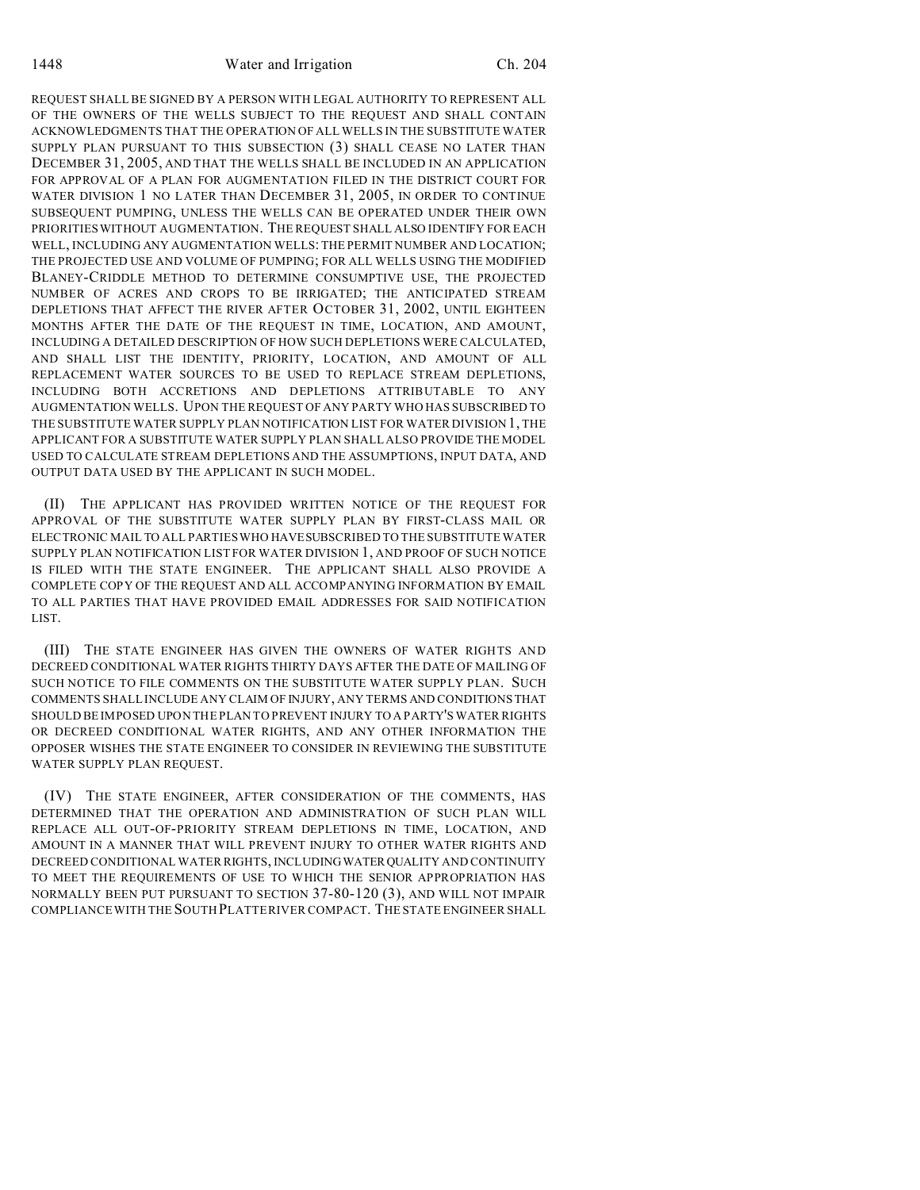REQUEST SHALL BE SIGNED BY A PERSON WITH LEGAL AUTHORITY TO REPRESENT ALL OF THE OWNERS OF THE WELLS SUBJECT TO THE REQUEST AND SHALL CONTAIN ACKNOWLEDGMENTS THAT THE OPERATION OF ALL WELLS IN THE SUBSTITUTE WATER SUPPLY PLAN PURSUANT TO THIS SUBSECTION (3) SHALL CEASE NO LATER THAN DECEMBER 31, 2005, AND THAT THE WELLS SHALL BE INCLUDED IN AN APPLICATION FOR APPROVAL OF A PLAN FOR AUGMENTATION FILED IN THE DISTRICT COURT FOR WATER DIVISION 1 NO LATER THAN DECEMBER 31, 2005, IN ORDER TO CONTINUE SUBSEQUENT PUMPING, UNLESS THE WELLS CAN BE OPERATED UNDER THEIR OWN PRIORITIES WITHOUT AUGMENTATION. THE REQUEST SHALL ALSO IDENTIFY FOR EACH WELL, INCLUDING ANY AUGMENTATION WELLS: THE PERMIT NUMBER AND LOCATION; THE PROJECTED USE AND VOLUME OF PUMPING; FOR ALL WELLS USING THE MODIFIED BLANEY-CRIDDLE METHOD TO DETERMINE CONSUMPTIVE USE, THE PROJECTED NUMBER OF ACRES AND CROPS TO BE IRRIGATED; THE ANTICIPATED STREAM DEPLETIONS THAT AFFECT THE RIVER AFTER OCTOBER 31, 2002, UNTIL EIGHTEEN MONTHS AFTER THE DATE OF THE REQUEST IN TIME, LOCATION, AND AMOUNT, INCLUDING A DETAILED DESCRIPTION OF HOW SUCH DEPLETIONS WERE CALCULATED, AND SHALL LIST THE IDENTITY, PRIORITY, LOCATION, AND AMOUNT OF ALL REPLACEMENT WATER SOURCES TO BE USED TO REPLACE STREAM DEPLETIONS, INCLUDING BOTH ACCRETIONS AND DEPLETIONS ATTRIBUTABLE TO ANY AUGMENTATION WELLS. UPON THE REQUEST OF ANY PARTY WHO HAS SUBSCRIBED TO THE SUBSTITUTE WATER SUPPLY PLAN NOTIFICATION LIST FOR WATER DIVISION 1, THE APPLICANT FOR A SUBSTITUTE WATER SUPPLY PLAN SHALL ALSO PROVIDE THE MODEL USED TO CALCULATE STREAM DEPLETIONS AND THE ASSUMPTIONS, INPUT DATA, AND OUTPUT DATA USED BY THE APPLICANT IN SUCH MODEL.

(II) THE APPLICANT HAS PROVIDED WRITTEN NOTICE OF THE REQUEST FOR APPROVAL OF THE SUBSTITUTE WATER SUPPLY PLAN BY FIRST-CLASS MAIL OR ELECTRONIC MAIL TO ALL PARTIES WHO HAVESUBSCRIBED TO THE SUBSTITUTE WATER SUPPLY PLAN NOTIFICATION LIST FOR WATER DIVISION 1, AND PROOF OF SUCH NOTICE IS FILED WITH THE STATE ENGINEER. THE APPLICANT SHALL ALSO PROVIDE A COMPLETE COPY OF THE REQUEST AND ALL ACCOMPANYING INFORMATION BY EMAIL TO ALL PARTIES THAT HAVE PROVIDED EMAIL ADDRESSES FOR SAID NOTIFICATION LIST.

(III) THE STATE ENGINEER HAS GIVEN THE OWNERS OF WATER RIGHTS AND DECREED CONDITIONAL WATER RIGHTS THIRTY DAYS AFTER THE DATE OF MAILING OF SUCH NOTICE TO FILE COMMENTS ON THE SUBSTITUTE WATER SUPPLY PLAN. SUCH COMMENTS SHALL INCLUDE ANY CLAIM OF INJURY, ANY TERMS AND CONDITIONSTHAT SHOULD BE IMPOSED UPON THE PLAN TO PREVENT INJURY TO A PARTY'S WATER RIGHTS OR DECREED CONDITIONAL WATER RIGHTS, AND ANY OTHER INFORMATION THE OPPOSER WISHES THE STATE ENGINEER TO CONSIDER IN REVIEWING THE SUBSTITUTE WATER SUPPLY PLAN REQUEST.

(IV) THE STATE ENGINEER, AFTER CONSIDERATION OF THE COMMENTS, HAS DETERMINED THAT THE OPERATION AND ADMINISTRATION OF SUCH PLAN WILL REPLACE ALL OUT-OF-PRIORITY STREAM DEPLETIONS IN TIME, LOCATION, AND AMOUNT IN A MANNER THAT WILL PREVENT INJURY TO OTHER WATER RIGHTS AND DECREED CONDITIONAL WATER RIGHTS, INCLUDING WATER QUALITY AND CONTINUITY TO MEET THE REQUIREMENTS OF USE TO WHICH THE SENIOR APPROPRIATION HAS NORMALLY BEEN PUT PURSUANT TO SECTION 37-80-120 (3), AND WILL NOT IMPAIR COMPLIANCE WITH THE SOUTH PLATTE RIVER COMPACT. THE STATE ENGINEER SHALL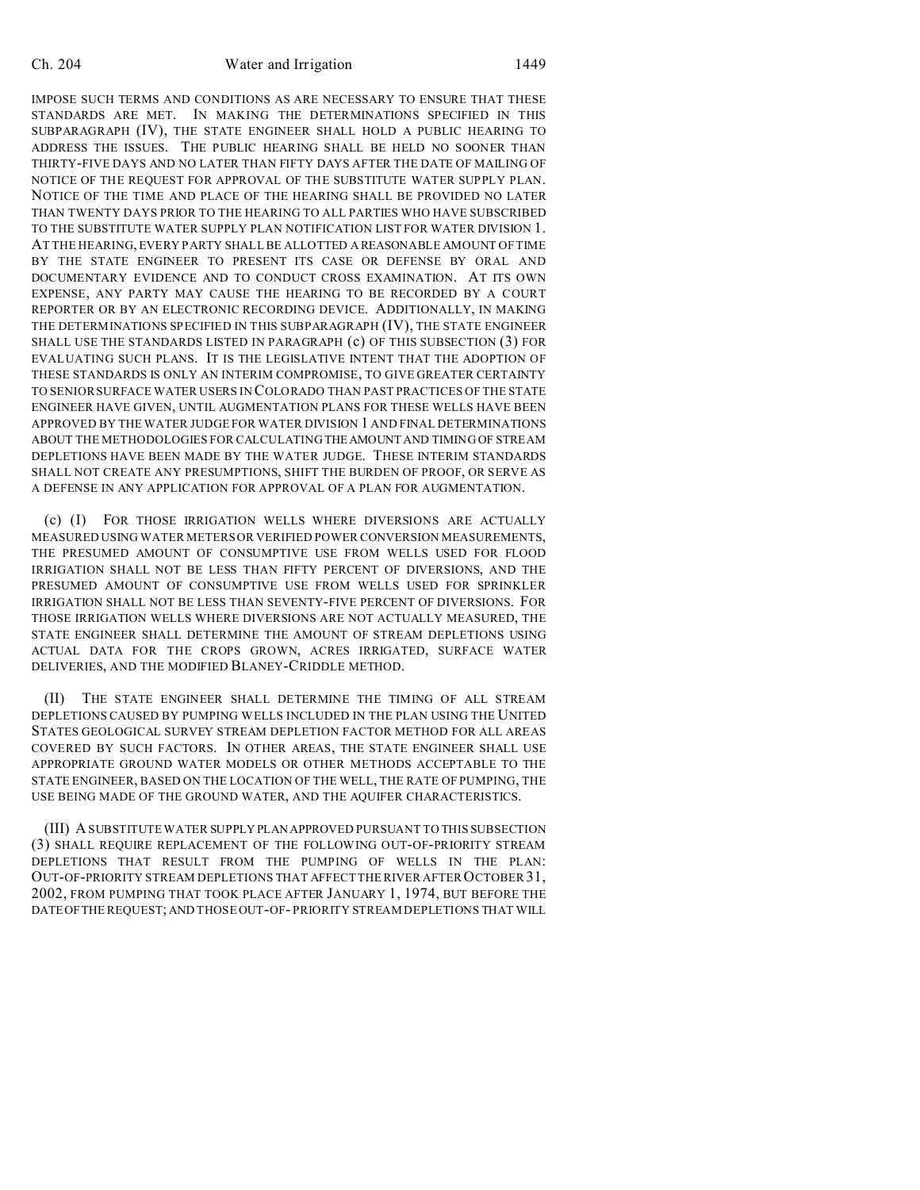IMPOSE SUCH TERMS AND CONDITIONS AS ARE NECESSARY TO ENSURE THAT THESE STANDARDS ARE MET. IN MAKING THE DETERMINATIONS SPECIFIED IN THIS SUBPARAGRAPH (IV), THE STATE ENGINEER SHALL HOLD A PUBLIC HEARING TO ADDRESS THE ISSUES. THE PUBLIC HEARING SHALL BE HELD NO SOONER THAN THIRTY-FIVE DAYS AND NO LATER THAN FIFTY DAYS AFTER THE DATE OF MAILING OF NOTICE OF THE REQUEST FOR APPROVAL OF THE SUBSTITUTE WATER SUPPLY PLAN. NOTICE OF THE TIME AND PLACE OF THE HEARING SHALL BE PROVIDED NO LATER THAN TWENTY DAYS PRIOR TO THE HEARING TO ALL PARTIES WHO HAVE SUBSCRIBED TO THE SUBSTITUTE WATER SUPPLY PLAN NOTIFICATION LIST FOR WATER DIVISION 1. AT THE HEARING, EVERY PARTY SHALL BE ALLOTTED A REASONABLE AMOUNT OF TIME BY THE STATE ENGINEER TO PRESENT ITS CASE OR DEFENSE BY ORAL AND DOCUMENTARY EVIDENCE AND TO CONDUCT CROSS EXAMINATION. AT ITS OWN EXPENSE, ANY PARTY MAY CAUSE THE HEARING TO BE RECORDED BY A COURT REPORTER OR BY AN ELECTRONIC RECORDING DEVICE. ADDITIONALLY, IN MAKING THE DETERMINATIONS SPECIFIED IN THIS SUBPARAGRAPH (IV), THE STATE ENGINEER SHALL USE THE STANDARDS LISTED IN PARAGRAPH (c) OF THIS SUBSECTION (3) FOR EVALUATING SUCH PLANS. IT IS THE LEGISLATIVE INTENT THAT THE ADOPTION OF THESE STANDARDS IS ONLY AN INTERIM COMPROMISE, TO GIVE GREATER CERTAINTY TO SENIOR SURFACE WATER USERS IN COLORADO THAN PAST PRACTICES OF THE STATE ENGINEER HAVE GIVEN, UNTIL AUGMENTATION PLANS FOR THESE WELLS HAVE BEEN APPROVED BY THE WATER JUDGE FOR WATER DIVISION 1 AND FINAL DETERMINATIONS ABOUT THE METHODOLOGIES FOR CALCULATING THEAMOUNT AND TIMING OF STREAM DEPLETIONS HAVE BEEN MADE BY THE WATER JUDGE. THESE INTERIM STANDARDS SHALL NOT CREATE ANY PRESUMPTIONS, SHIFT THE BURDEN OF PROOF, OR SERVE AS A DEFENSE IN ANY APPLICATION FOR APPROVAL OF A PLAN FOR AUGMENTATION.

(c) (I) FOR THOSE IRRIGATION WELLS WHERE DIVERSIONS ARE ACTUALLY MEASURED USING WATER METERS OR VERIFIED POWER CONVERSION MEASUREMENTS, THE PRESUMED AMOUNT OF CONSUMPTIVE USE FROM WELLS USED FOR FLOOD IRRIGATION SHALL NOT BE LESS THAN FIFTY PERCENT OF DIVERSIONS, AND THE PRESUMED AMOUNT OF CONSUMPTIVE USE FROM WELLS USED FOR SPRINKLER IRRIGATION SHALL NOT BE LESS THAN SEVENTY-FIVE PERCENT OF DIVERSIONS. FOR THOSE IRRIGATION WELLS WHERE DIVERSIONS ARE NOT ACTUALLY MEASURED, THE STATE ENGINEER SHALL DETERMINE THE AMOUNT OF STREAM DEPLETIONS USING ACTUAL DATA FOR THE CROPS GROWN, ACRES IRRIGATED, SURFACE WATER DELIVERIES, AND THE MODIFIED BLANEY-CRIDDLE METHOD.

(II) THE STATE ENGINEER SHALL DETERMINE THE TIMING OF ALL STREAM DEPLETIONS CAUSED BY PUMPING WELLS INCLUDED IN THE PLAN USING THE UNITED STATES GEOLOGICAL SURVEY STREAM DEPLETION FACTOR METHOD FOR ALL AREAS COVERED BY SUCH FACTORS. IN OTHER AREAS, THE STATE ENGINEER SHALL USE APPROPRIATE GROUND WATER MODELS OR OTHER METHODS ACCEPTABLE TO THE STATE ENGINEER, BASED ON THE LOCATION OF THE WELL, THE RATE OF PUMPING, THE USE BEING MADE OF THE GROUND WATER, AND THE AQUIFER CHARACTERISTICS.

(III) A SUBSTITUTE WATER SUPPLY PLAN APPROVED PURSUANT TO THIS SUBSECTION (3) SHALL REQUIRE REPLACEMENT OF THE FOLLOWING OUT-OF-PRIORITY STREAM DEPLETIONS THAT RESULT FROM THE PUMPING OF WELLS IN THE PLAN: OUT-OF-PRIORITY STREAM DEPLETIONS THAT AFFECT THE RIVER AFTER OCTOBER 31, 2002, FROM PUMPING THAT TOOK PLACE AFTER JANUARY 1, 1974, BUT BEFORE THE DATEOFTHE REQUEST; AND THOSE OUT-OF- PRIORITY STREAM DEPLETIONS THAT WILL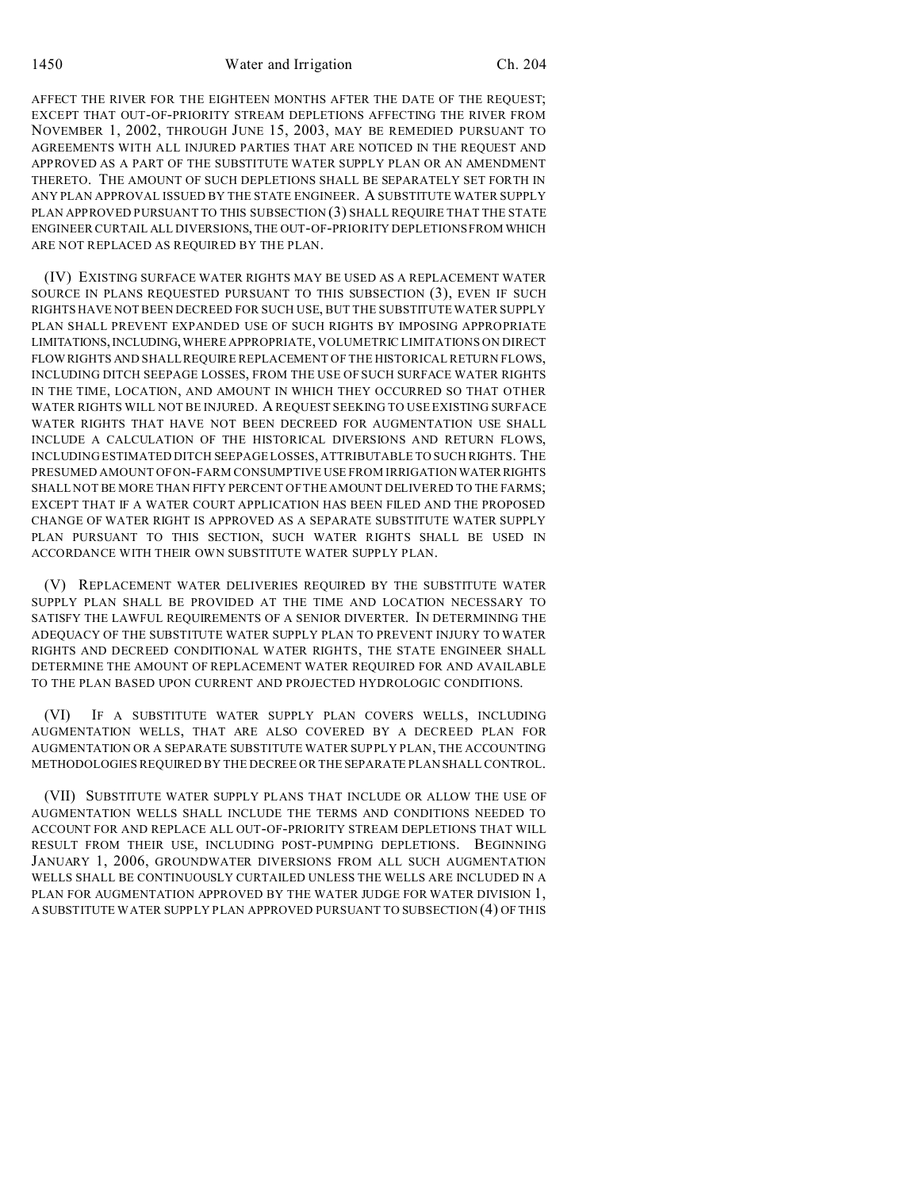AFFECT THE RIVER FOR THE EIGHTEEN MONTHS AFTER THE DATE OF THE REQUEST; EXCEPT THAT OUT-OF-PRIORITY STREAM DEPLETIONS AFFECTING THE RIVER FROM NOVEMBER 1, 2002, THROUGH JUNE 15, 2003, MAY BE REMEDIED PURSUANT TO AGREEMENTS WITH ALL INJURED PARTIES THAT ARE NOTICED IN THE REQUEST AND APPROVED AS A PART OF THE SUBSTITUTE WATER SUPPLY PLAN OR AN AMENDMENT THERETO. THE AMOUNT OF SUCH DEPLETIONS SHALL BE SEPARATELY SET FORTH IN ANY PLAN APPROVAL ISSUED BY THE STATE ENGINEER. A SUBSTITUTE WATER SUPPLY PLAN APPROVED PURSUANT TO THIS SUBSECTION (3) SHALL REQUIRE THAT THE STATE ENGINEER CURTAIL ALL DIVERSIONS, THE OUT-OF-PRIORITY DEPLETIONS FROM WHICH ARE NOT REPLACED AS REQUIRED BY THE PLAN.

(IV) EXISTING SURFACE WATER RIGHTS MAY BE USED AS A REPLACEMENT WATER SOURCE IN PLANS REQUESTED PURSUANT TO THIS SUBSECTION (3), EVEN IF SUCH RIGHTS HAVE NOT BEEN DECREED FOR SUCH USE, BUT THE SUBSTITUTE WATER SUPPLY PLAN SHALL PREVENT EXPANDED USE OF SUCH RIGHTS BY IMPOSING APPROPRIATE LIMITATIONS,INCLUDING,WHERE APPROPRIATE, VOLUMETRIC LIMITATIONS ON DIRECT FLOWRIGHTS AND SHALL REQUIRE REPLACEMENT OF THE HISTORICAL RETURN FLOWS, INCLUDING DITCH SEEPAGE LOSSES, FROM THE USE OF SUCH SURFACE WATER RIGHTS IN THE TIME, LOCATION, AND AMOUNT IN WHICH THEY OCCURRED SO THAT OTHER WATER RIGHTS WILL NOT BE INJURED. A REQUEST SEEKING TO USE EXISTING SURFACE WATER RIGHTS THAT HAVE NOT BEEN DECREED FOR AUGMENTATION USE SHALL INCLUDE A CALCULATION OF THE HISTORICAL DIVERSIONS AND RETURN FLOWS, INCLUDING ESTIMATED DITCH SEEPAGE LOSSES, ATTRIBUTABLE TO SUCH RIGHTS. THE PRESUMED AMOUNT OF ON-FARM CONSUMPTIVE USE FROM IRRIGATION WATERRIGHTS SHALL NOT BE MORE THAN FIFTY PERCENT OF THE AMOUNT DELIVERED TO THE FARMS; EXCEPT THAT IF A WATER COURT APPLICATION HAS BEEN FILED AND THE PROPOSED CHANGE OF WATER RIGHT IS APPROVED AS A SEPARATE SUBSTITUTE WATER SUPPLY PLAN PURSUANT TO THIS SECTION, SUCH WATER RIGHTS SHALL BE USED IN ACCORDANCE WITH THEIR OWN SUBSTITUTE WATER SUPPLY PLAN.

(V) REPLACEMENT WATER DELIVERIES REQUIRED BY THE SUBSTITUTE WATER SUPPLY PLAN SHALL BE PROVIDED AT THE TIME AND LOCATION NECESSARY TO SATISFY THE LAWFUL REQUIREMENTS OF A SENIOR DIVERTER. IN DETERMINING THE ADEQUACY OF THE SUBSTITUTE WATER SUPPLY PLAN TO PREVENT INJURY TO WATER RIGHTS AND DECREED CONDITIONAL WATER RIGHTS, THE STATE ENGINEER SHALL DETERMINE THE AMOUNT OF REPLACEMENT WATER REQUIRED FOR AND AVAILABLE TO THE PLAN BASED UPON CURRENT AND PROJECTED HYDROLOGIC CONDITIONS.

(VI) IF A SUBSTITUTE WATER SUPPLY PLAN COVERS WELLS, INCLUDING AUGMENTATION WELLS, THAT ARE ALSO COVERED BY A DECREED PLAN FOR AUGMENTATION OR A SEPARATE SUBSTITUTE WATER SUPPLY PLAN, THE ACCOUNTING METHODOLOGIES REQUIRED BY THE DECREE OR THE SEPARATE PLAN SHALL CONTROL.

(VII) SUBSTITUTE WATER SUPPLY PLANS THAT INCLUDE OR ALLOW THE USE OF AUGMENTATION WELLS SHALL INCLUDE THE TERMS AND CONDITIONS NEEDED TO ACCOUNT FOR AND REPLACE ALL OUT-OF-PRIORITY STREAM DEPLETIONS THAT WILL RESULT FROM THEIR USE, INCLUDING POST-PUMPING DEPLETIONS. BEGINNING JANUARY 1, 2006, GROUNDWATER DIVERSIONS FROM ALL SUCH AUGMENTATION WELLS SHALL BE CONTINUOUSLY CURTAILED UNLESS THE WELLS ARE INCLUDED IN A PLAN FOR AUGMENTATION APPROVED BY THE WATER JUDGE FOR WATER DIVISION 1, A SUBSTITUTE WATER SUPPLY PLAN APPROVED PURSUANT TO SUBSECTION (4) OF THIS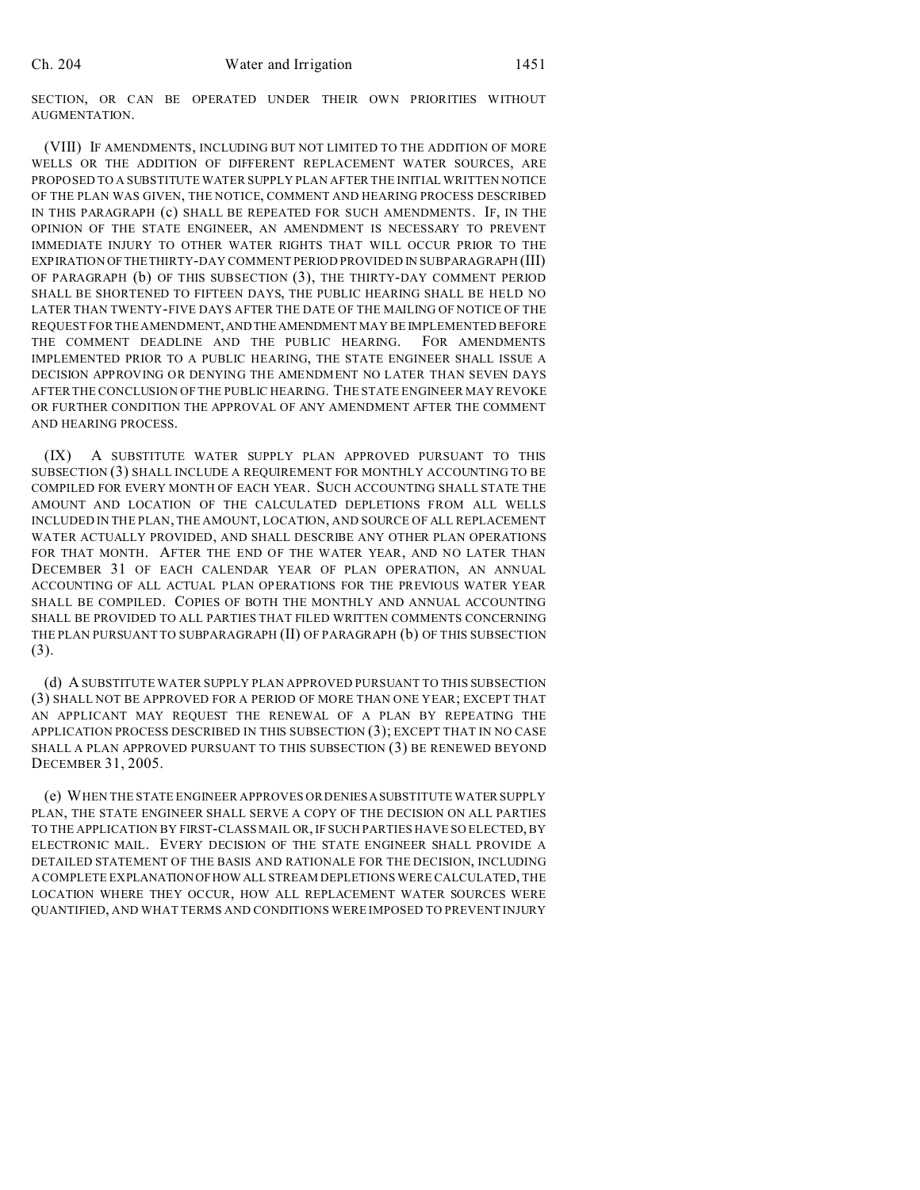SECTION, OR CAN BE OPERATED UNDER THEIR OWN PRIORITIES WITHOUT AUGMENTATION.

(VIII) IF AMENDMENTS, INCLUDING BUT NOT LIMITED TO THE ADDITION OF MORE WELLS OR THE ADDITION OF DIFFERENT REPLACEMENT WATER SOURCES, ARE PROPOSED TO A SUBSTITUTE WATER SUPPLY PLAN AFTER THE INITIAL WRITTEN NOTICE OF THE PLAN WAS GIVEN, THE NOTICE, COMMENT AND HEARING PROCESS DESCRIBED IN THIS PARAGRAPH (c) SHALL BE REPEATED FOR SUCH AMENDMENTS. IF, IN THE OPINION OF THE STATE ENGINEER, AN AMENDMENT IS NECESSARY TO PREVENT IMMEDIATE INJURY TO OTHER WATER RIGHTS THAT WILL OCCUR PRIOR TO THE EXPIRATION OFTHETHIRTY-DAY COMMENT PERIOD PROVIDED IN SUBPARAGRAPH (III) OF PARAGRAPH (b) OF THIS SUBSECTION (3), THE THIRTY-DAY COMMENT PERIOD SHALL BE SHORTENED TO FIFTEEN DAYS, THE PUBLIC HEARING SHALL BE HELD NO LATER THAN TWENTY-FIVE DAYS AFTER THE DATE OF THE MAILING OF NOTICE OF THE REQUEST FOR THE AMENDMENT,ANDTHEAMENDMENT MAY BE IMPLEMENTED BEFORE THE COMMENT DEADLINE AND THE PUBLIC HEARING. FOR AMENDMENTS IMPLEMENTED PRIOR TO A PUBLIC HEARING, THE STATE ENGINEER SHALL ISSUE A DECISION APPROVING OR DENYING THE AMENDMENT NO LATER THAN SEVEN DAYS AFTER THE CONCLUSION OF THE PUBLIC HEARING. THE STATE ENGINEER MAY REVOKE OR FURTHER CONDITION THE APPROVAL OF ANY AMENDMENT AFTER THE COMMENT AND HEARING PROCESS.

(IX) A SUBSTITUTE WATER SUPPLY PLAN APPROVED PURSUANT TO THIS SUBSECTION (3) SHALL INCLUDE A REQUIREMENT FOR MONTHLY ACCOUNTING TO BE COMPILED FOR EVERY MONTH OF EACH YEAR. SUCH ACCOUNTING SHALL STATE THE AMOUNT AND LOCATION OF THE CALCULATED DEPLETIONS FROM ALL WELLS INCLUDED IN THE PLAN, THE AMOUNT, LOCATION, AND SOURCE OF ALL REPLACEMENT WATER ACTUALLY PROVIDED, AND SHALL DESCRIBE ANY OTHER PLAN OPERATIONS FOR THAT MONTH. AFTER THE END OF THE WATER YEAR, AND NO LATER THAN DECEMBER 31 OF EACH CALENDAR YEAR OF PLAN OPERATION, AN ANNUAL ACCOUNTING OF ALL ACTUAL PLAN OPERATIONS FOR THE PREVIOUS WATER YEAR SHALL BE COMPILED. COPIES OF BOTH THE MONTHLY AND ANNUAL ACCOUNTING SHALL BE PROVIDED TO ALL PARTIES THAT FILED WRITTEN COMMENTS CONCERNING THE PLAN PURSUANT TO SUBPARAGRAPH (II) OF PARAGRAPH (b) OF THIS SUBSECTION (3).

(d) A SUBSTITUTE WATER SUPPLY PLAN APPROVED PURSUANT TO THIS SUBSECTION (3) SHALL NOT BE APPROVED FOR A PERIOD OF MORE THAN ONE YEAR; EXCEPT THAT AN APPLICANT MAY REQUEST THE RENEWAL OF A PLAN BY REPEATING THE APPLICATION PROCESS DESCRIBED IN THIS SUBSECTION (3); EXCEPT THAT IN NO CASE SHALL A PLAN APPROVED PURSUANT TO THIS SUBSECTION (3) BE RENEWED BEYOND DECEMBER 31, 2005.

(e) WHEN THE STATE ENGINEER APPROVES OR DENIESASUBSTITUTE WATER SUPPLY PLAN, THE STATE ENGINEER SHALL SERVE A COPY OF THE DECISION ON ALL PARTIES TO THE APPLICATION BY FIRST-CLASS MAIL OR, IF SUCH PARTIES HAVE SO ELECTED, BY ELECTRONIC MAIL. EVERY DECISION OF THE STATE ENGINEER SHALL PROVIDE A DETAILED STATEMENT OF THE BASIS AND RATIONALE FOR THE DECISION, INCLUDING A COMPLETE EXPLANATIONOFHOW ALL STREAM DEPLETIONS WERE CALCULATED, THE LOCATION WHERE THEY OCCUR, HOW ALL REPLACEMENT WATER SOURCES WERE QUANTIFIED, AND WHAT TERMS AND CONDITIONS WERE IMPOSED TO PREVENT INJURY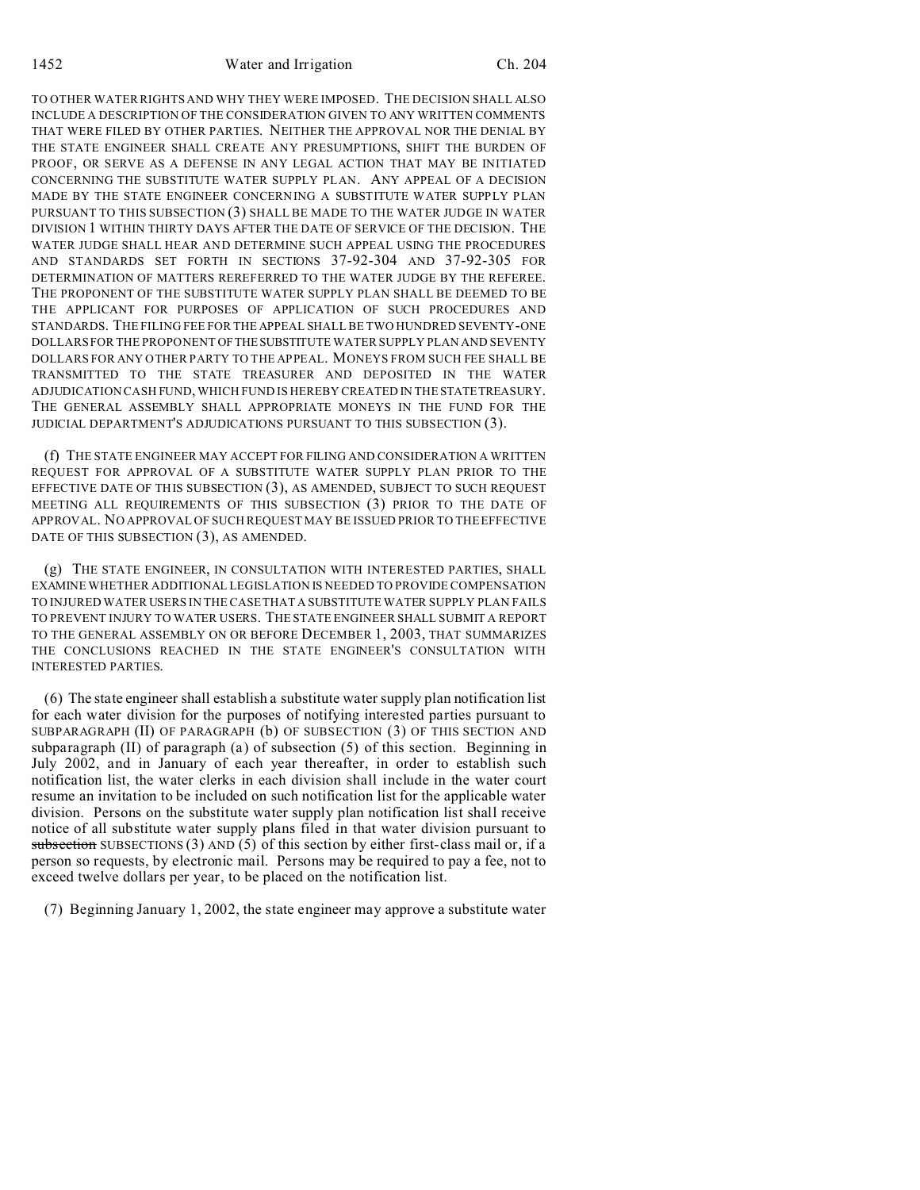TO OTHER WATER RIGHTS AND WHY THEY WERE IMPOSED. THE DECISION SHALL ALSO INCLUDE A DESCRIPTION OF THE CONSIDERATION GIVEN TO ANY WRITTEN COMMENTS THAT WERE FILED BY OTHER PARTIES. NEITHER THE APPROVAL NOR THE DENIAL BY THE STATE ENGINEER SHALL CREATE ANY PRESUMPTIONS, SHIFT THE BURDEN OF PROOF, OR SERVE AS A DEFENSE IN ANY LEGAL ACTION THAT MAY BE INITIATED CONCERNING THE SUBSTITUTE WATER SUPPLY PLAN. ANY APPEAL OF A DECISION MADE BY THE STATE ENGINEER CONCERNING A SUBSTITUTE WATER SUPPLY PLAN PURSUANT TO THIS SUBSECTION (3) SHALL BE MADE TO THE WATER JUDGE IN WATER DIVISION 1 WITHIN THIRTY DAYS AFTER THE DATE OF SERVICE OF THE DECISION. THE WATER JUDGE SHALL HEAR AND DETERMINE SUCH APPEAL USING THE PROCEDURES AND STANDARDS SET FORTH IN SECTIONS 37-92-304 AND 37-92-305 FOR DETERMINATION OF MATTERS REREFERRED TO THE WATER JUDGE BY THE REFEREE. THE PROPONENT OF THE SUBSTITUTE WATER SUPPLY PLAN SHALL BE DEEMED TO BE THE APPLICANT FOR PURPOSES OF APPLICATION OF SUCH PROCEDURES AND STANDARDS. THE FILING FEE FOR THE APPEAL SHALL BE TWO HUNDRED SEVENTY-ONE DOLLARS FOR THE PROPONENT OFTHESUBSTITUTE WATER SUPPLY PLAN AND SEVENTY DOLLARS FOR ANY OTHER PARTY TO THE APPEAL. MONEYS FROM SUCH FEE SHALL BE TRANSMITTED TO THE STATE TREASURER AND DEPOSITED IN THE WATER ADJUDICATION CASH FUND, WHICH FUND IS HEREBY CREATED IN THESTATETREASURY. THE GENERAL ASSEMBLY SHALL APPROPRIATE MONEYS IN THE FUND FOR THE JUDICIAL DEPARTMENT'S ADJUDICATIONS PURSUANT TO THIS SUBSECTION (3).

(f) THE STATE ENGINEER MAY ACCEPT FOR FILING AND CONSIDERATION A WRITTEN REQUEST FOR APPROVAL OF A SUBSTITUTE WATER SUPPLY PLAN PRIOR TO THE EFFECTIVE DATE OF THIS SUBSECTION (3), AS AMENDED, SUBJECT TO SUCH REQUEST MEETING ALL REQUIREMENTS OF THIS SUBSECTION (3) PRIOR TO THE DATE OF APPROVAL. NO APPROVAL OF SUCH REQUEST MAY BE ISSUED PRIOR TO THE EFFECTIVE DATE OF THIS SUBSECTION (3), AS AMENDED.

(g) THE STATE ENGINEER, IN CONSULTATION WITH INTERESTED PARTIES, SHALL EXAMINE WHETHER ADDITIONAL LEGISLATION IS NEEDED TO PROVIDE COMPENSATION TO INJURED WATER USERS IN THE CASE THAT A SUBSTITUTE WATER SUPPLY PLAN FAILS TO PREVENT INJURY TO WATER USERS. THE STATE ENGINEER SHALL SUBMIT A REPORT TO THE GENERAL ASSEMBLY ON OR BEFORE DECEMBER 1, 2003, THAT SUMMARIZES THE CONCLUSIONS REACHED IN THE STATE ENGINEER'S CONSULTATION WITH INTERESTED PARTIES.

(6) The state engineer shall establish a substitute water supply plan notification list for each water division for the purposes of notifying interested parties pursuant to SUBPARAGRAPH (II) OF PARAGRAPH (b) OF SUBSECTION (3) OF THIS SECTION AND subparagraph (II) of paragraph (a) of subsection (5) of this section. Beginning in July 2002, and in January of each year thereafter, in order to establish such notification list, the water clerks in each division shall include in the water court resume an invitation to be included on such notification list for the applicable water division. Persons on the substitute water supply plan notification list shall receive notice of all substitute water supply plans filed in that water division pursuant to subsection SUBSECTIONS  $(3)$  AND  $(5)$  of this section by either first-class mail or, if a person so requests, by electronic mail. Persons may be required to pay a fee, not to exceed twelve dollars per year, to be placed on the notification list.

(7) Beginning January 1, 2002, the state engineer may approve a substitute water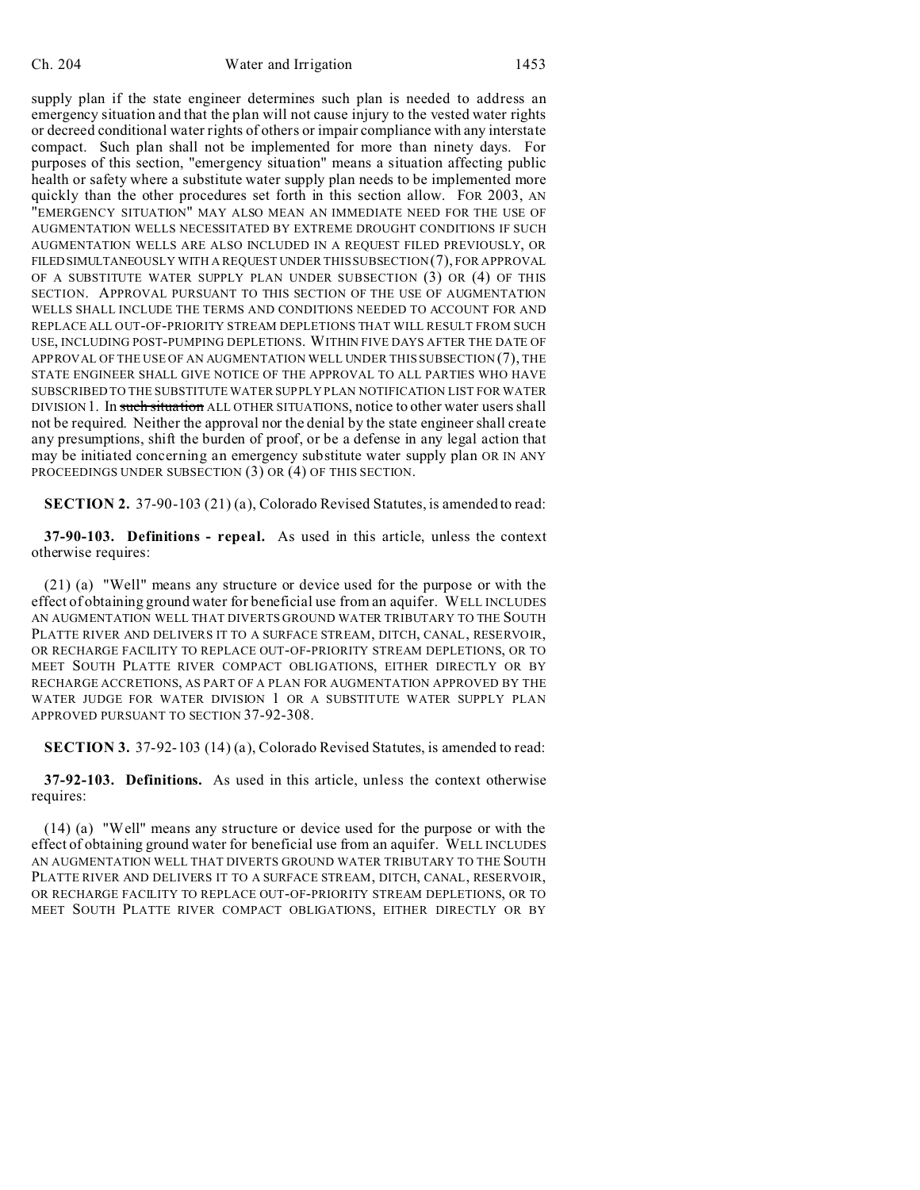supply plan if the state engineer determines such plan is needed to address an emergency situation and that the plan will not cause injury to the vested water rights or decreed conditional water rights of others or impair compliance with any interstate compact. Such plan shall not be implemented for more than ninety days. For purposes of this section, "emergency situation" means a situation affecting public health or safety where a substitute water supply plan needs to be implemented more quickly than the other procedures set forth in this section allow. FOR 2003, AN "EMERGENCY SITUATION" MAY ALSO MEAN AN IMMEDIATE NEED FOR THE USE OF AUGMENTATION WELLS NECESSITATED BY EXTREME DROUGHT CONDITIONS IF SUCH AUGMENTATION WELLS ARE ALSO INCLUDED IN A REQUEST FILED PREVIOUSLY, OR FILEDSIMULTANEOUSLY WITH A REQUEST UNDER THIS SUBSECTION (7), FOR APPROVAL OF A SUBSTITUTE WATER SUPPLY PLAN UNDER SUBSECTION (3) OR (4) OF THIS SECTION. APPROVAL PURSUANT TO THIS SECTION OF THE USE OF AUGMENTATION WELLS SHALL INCLUDE THE TERMS AND CONDITIONS NEEDED TO ACCOUNT FOR AND REPLACE ALL OUT-OF-PRIORITY STREAM DEPLETIONS THAT WILL RESULT FROM SUCH USE, INCLUDING POST-PUMPING DEPLETIONS. WITHIN FIVE DAYS AFTER THE DATE OF APPROVAL OF THE USE OF AN AUGMENTATION WELL UNDER THIS SUBSECTION (7), THE STATE ENGINEER SHALL GIVE NOTICE OF THE APPROVAL TO ALL PARTIES WHO HAVE SUBSCRIBED TO THE SUBSTITUTE WATER SUPPLY PLAN NOTIFICATION LIST FOR WATER DIVISION 1. In such situation ALL OTHER SITUATIONS, notice to other water users shall not be required. Neither the approval nor the denial by the state engineer shall create any presumptions, shift the burden of proof, or be a defense in any legal action that may be initiated concerning an emergency substitute water supply plan OR IN ANY PROCEEDINGS UNDER SUBSECTION (3) OR (4) OF THIS SECTION.

**SECTION 2.** 37-90-103 (21) (a), Colorado Revised Statutes, is amended to read:

**37-90-103. Definitions - repeal.** As used in this article, unless the context otherwise requires:

(21) (a) "Well" means any structure or device used for the purpose or with the effect of obtaining ground water for beneficial use from an aquifer. WELL INCLUDES AN AUGMENTATION WELL THAT DIVERTS GROUND WATER TRIBUTARY TO THE SOUTH PLATTE RIVER AND DELIVERS IT TO A SURFACE STREAM, DITCH, CANAL, RESERVOIR, OR RECHARGE FACILITY TO REPLACE OUT-OF-PRIORITY STREAM DEPLETIONS, OR TO MEET SOUTH PLATTE RIVER COMPACT OBLIGATIONS, EITHER DIRECTLY OR BY RECHARGE ACCRETIONS, AS PART OF A PLAN FOR AUGMENTATION APPROVED BY THE WATER JUDGE FOR WATER DIVISION 1 OR A SUBSTITUTE WATER SUPPLY PLAN APPROVED PURSUANT TO SECTION 37-92-308.

**SECTION 3.** 37-92-103 (14) (a), Colorado Revised Statutes, is amended to read:

**37-92-103. Definitions.** As used in this article, unless the context otherwise requires:

(14) (a) "Well" means any structure or device used for the purpose or with the effect of obtaining ground water for beneficial use from an aquifer. WELL INCLUDES AN AUGMENTATION WELL THAT DIVERTS GROUND WATER TRIBUTARY TO THE SOUTH PLATTE RIVER AND DELIVERS IT TO A SURFACE STREAM, DITCH, CANAL, RESERVOIR, OR RECHARGE FACILITY TO REPLACE OUT-OF-PRIORITY STREAM DEPLETIONS, OR TO MEET SOUTH PLATTE RIVER COMPACT OBLIGATIONS, EITHER DIRECTLY OR BY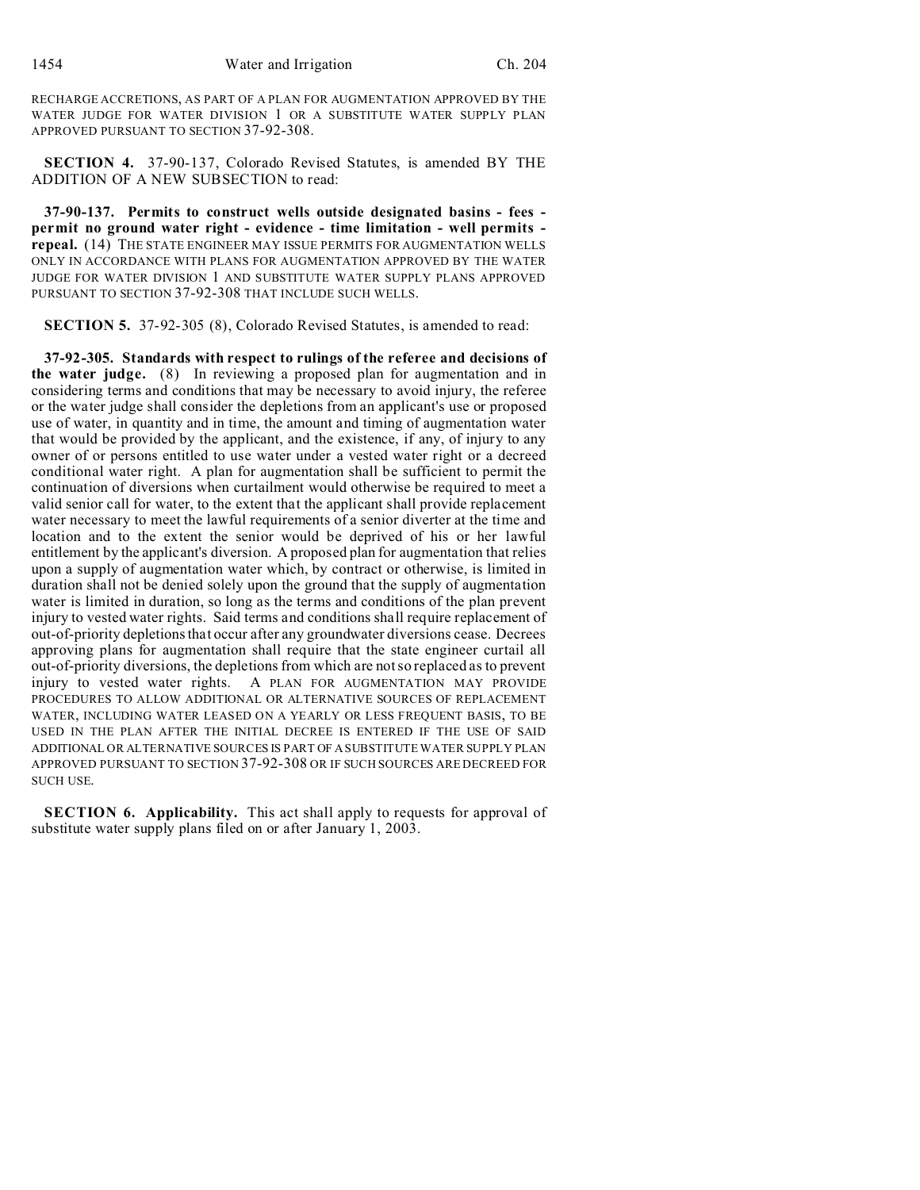RECHARGE ACCRETIONS, AS PART OF A PLAN FOR AUGMENTATION APPROVED BY THE WATER JUDGE FOR WATER DIVISION 1 OR A SUBSTITUTE WATER SUPPLY PLAN APPROVED PURSUANT TO SECTION 37-92-308.

**SECTION 4.** 37-90-137, Colorado Revised Statutes, is amended BY THE ADDITION OF A NEW SUBSECTION to read:

**37-90-137. Permits to construct wells outside designated basins - fees permit no ground water right - evidence - time limitation - well permits repeal.** (14) THE STATE ENGINEER MAY ISSUE PERMITS FOR AUGMENTATION WELLS ONLY IN ACCORDANCE WITH PLANS FOR AUGMENTATION APPROVED BY THE WATER JUDGE FOR WATER DIVISION 1 AND SUBSTITUTE WATER SUPPLY PLANS APPROVED PURSUANT TO SECTION 37-92-308 THAT INCLUDE SUCH WELLS.

**SECTION 5.** 37-92-305 (8), Colorado Revised Statutes, is amended to read:

**37-92-305. Standards with respect to rulings of the referee and decisions of the water judge.** (8) In reviewing a proposed plan for augmentation and in considering terms and conditions that may be necessary to avoid injury, the referee or the water judge shall consider the depletions from an applicant's use or proposed use of water, in quantity and in time, the amount and timing of augmentation water that would be provided by the applicant, and the existence, if any, of injury to any owner of or persons entitled to use water under a vested water right or a decreed conditional water right. A plan for augmentation shall be sufficient to permit the continuation of diversions when curtailment would otherwise be required to meet a valid senior call for water, to the extent that the applicant shall provide replacement water necessary to meet the lawful requirements of a senior diverter at the time and location and to the extent the senior would be deprived of his or her lawful entitlement by the applicant's diversion. A proposed plan for augmentation that relies upon a supply of augmentation water which, by contract or otherwise, is limited in duration shall not be denied solely upon the ground that the supply of augmentation water is limited in duration, so long as the terms and conditions of the plan prevent injury to vested water rights. Said terms and conditions shall require replacement of out-of-priority depletions that occur after any groundwater diversions cease. Decrees approving plans for augmentation shall require that the state engineer curtail all out-of-priority diversions, the depletions from which are not so replaced as to prevent injury to vested water rights. A PLAN FOR AUGMENTATION MAY PROVIDE PROCEDURES TO ALLOW ADDITIONAL OR ALTERNATIVE SOURCES OF REPLACEMENT WATER, INCLUDING WATER LEASED ON A YEARLY OR LESS FREQUENT BASIS, TO BE USED IN THE PLAN AFTER THE INITIAL DECREE IS ENTERED IF THE USE OF SAID ADDITIONAL OR ALTERNATIVE SOURCES IS PART OF A SUBSTITUTE WATER SUPPLY PLAN APPROVED PURSUANT TO SECTION 37-92-308 OR IF SUCH SOURCES ARE DECREED FOR SUCH USE.

**SECTION 6. Applicability.** This act shall apply to requests for approval of substitute water supply plans filed on or after January 1, 2003.